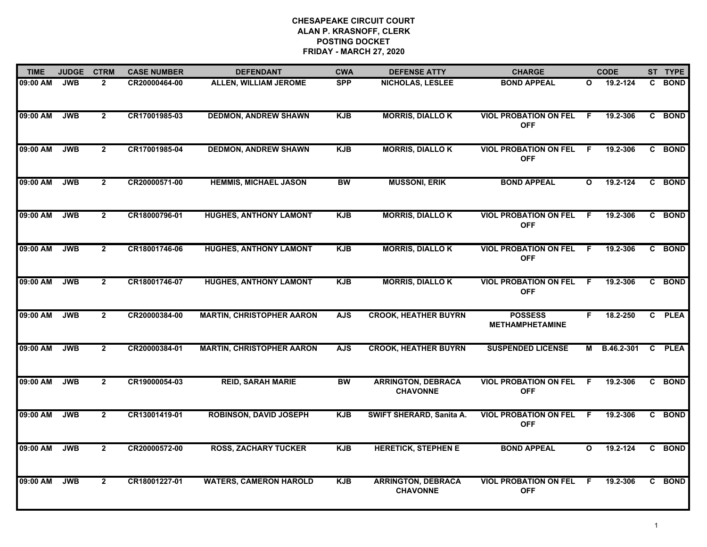## **CHESAPEAKE CIRCUIT COURT ALAN P. KRASNOFF, CLERK POSTING DOCKET FRIDAY - MARCH 27, 2020**

| <b>TIME</b> | <b>JUDGE</b> | <b>CTRM</b>    | <b>CASE NUMBER</b> | <b>DEFENDANT</b>                 | <b>CWA</b> | <b>DEFENSE ATTY</b>                          | <b>CHARGE</b>                              |              | <b>CODE</b> | ST TYPE |
|-------------|--------------|----------------|--------------------|----------------------------------|------------|----------------------------------------------|--------------------------------------------|--------------|-------------|---------|
| 09:00 AM    | <b>JWB</b>   | $\mathbf{2}$   | CR20000464-00      | <b>ALLEN, WILLIAM JEROME</b>     | <b>SPP</b> | <b>NICHOLAS, LESLEE</b>                      | <b>BOND APPEAL</b>                         | $\mathbf{o}$ | 19.2-124    | C BOND  |
| 09:00 AM    | <b>JWB</b>   | $\overline{2}$ | CR17001985-03      | <b>DEDMON, ANDREW SHAWN</b>      | <b>KJB</b> | <b>MORRIS, DIALLOK</b>                       | <b>VIOL PROBATION ON FEL</b><br><b>OFF</b> | F.           | 19.2-306    | C BOND  |
| 09:00 AM    | <b>JWB</b>   | $\overline{2}$ | CR17001985-04      | <b>DEDMON, ANDREW SHAWN</b>      | <b>KJB</b> | <b>MORRIS, DIALLOK</b>                       | <b>VIOL PROBATION ON FEL</b><br><b>OFF</b> | F.           | 19.2-306    | C BOND  |
| 09:00 AM    | <b>JWB</b>   | $\mathbf{2}$   | CR20000571-00      | <b>HEMMIS, MICHAEL JASON</b>     | <b>BW</b>  | <b>MUSSONI, ERIK</b>                         | <b>BOND APPEAL</b>                         | $\mathbf{o}$ | 19.2-124    | C BOND  |
| 09:00 AM    | <b>JWB</b>   | $\overline{2}$ | CR18000796-01      | <b>HUGHES, ANTHONY LAMONT</b>    | <b>KJB</b> | <b>MORRIS, DIALLOK</b>                       | <b>VIOL PROBATION ON FEL</b><br><b>OFF</b> | F            | 19.2-306    | C BOND  |
| 09:00 AM    | <b>JWB</b>   | $\mathbf{2}$   | CR18001746-06      | <b>HUGHES, ANTHONY LAMONT</b>    | <b>KJB</b> | <b>MORRIS, DIALLOK</b>                       | <b>VIOL PROBATION ON FEL</b><br><b>OFF</b> | - F          | 19.2-306    | C BOND  |
| 09:00 AM    | <b>JWB</b>   | $\overline{2}$ | CR18001746-07      | <b>HUGHES, ANTHONY LAMONT</b>    | <b>KJB</b> | <b>MORRIS, DIALLOK</b>                       | <b>VIOL PROBATION ON FEL</b><br><b>OFF</b> | F.           | 19.2-306    | C BOND  |
| 09:00 AM    | <b>JWB</b>   | $\mathbf{2}$   | CR20000384-00      | <b>MARTIN, CHRISTOPHER AARON</b> | <b>AJS</b> | <b>CROOK, HEATHER BUYRN</b>                  | <b>POSSESS</b><br><b>METHAMPHETAMINE</b>   | F.           | 18.2-250    | C PLEA  |
| 09:00 AM    | <b>JWB</b>   | $\overline{2}$ | CR20000384-01      | <b>MARTIN, CHRISTOPHER AARON</b> | <b>AJS</b> | <b>CROOK, HEATHER BUYRN</b>                  | <b>SUSPENDED LICENSE</b>                   | м            | B.46.2-301  | C PLEA  |
| 09:00 AM    | <b>JWB</b>   | $\overline{2}$ | CR19000054-03      | <b>REID, SARAH MARIE</b>         | <b>BW</b>  | <b>ARRINGTON, DEBRACA</b><br><b>CHAVONNE</b> | <b>VIOL PROBATION ON FEL</b><br><b>OFF</b> | F            | 19.2-306    | C BOND  |
| 09:00 AM    | <b>JWB</b>   | $\mathbf{2}$   | CR13001419-01      | <b>ROBINSON, DAVID JOSEPH</b>    | <b>KJB</b> | SWIFT SHERARD, Sanita A.                     | <b>VIOL PROBATION ON FEL</b><br><b>OFF</b> | - F          | 19.2-306    | C BOND  |
| 09:00 AM    | <b>JWB</b>   | $\overline{2}$ | CR20000572-00      | <b>ROSS, ZACHARY TUCKER</b>      | <b>KJB</b> | <b>HERETICK, STEPHEN E</b>                   | <b>BOND APPEAL</b>                         | $\mathbf{o}$ | 19.2-124    | C BOND  |
| 09:00 AM    | <b>JWB</b>   | $\overline{2}$ | CR18001227-01      | <b>WATERS, CAMERON HAROLD</b>    | <b>KJB</b> | <b>ARRINGTON, DEBRACA</b><br><b>CHAVONNE</b> | <b>VIOL PROBATION ON FEL</b><br><b>OFF</b> | -F           | 19.2-306    | C BOND  |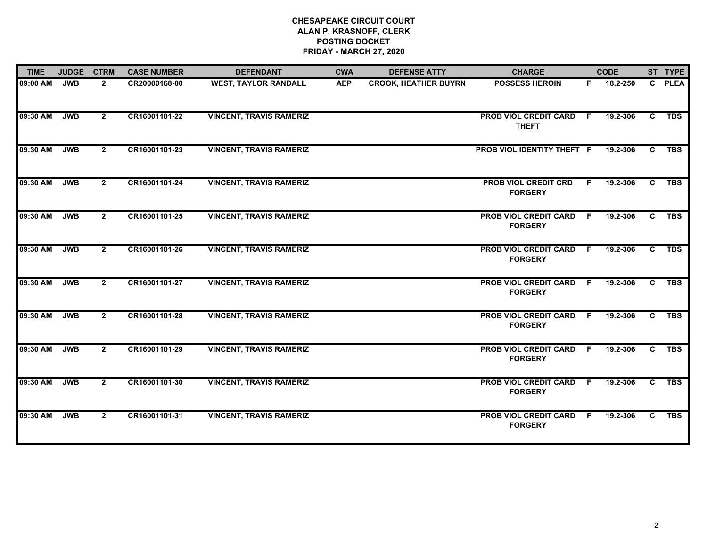## **CHESAPEAKE CIRCUIT COURT ALAN P. KRASNOFF, CLERK POSTING DOCKET FRIDAY - MARCH 27, 2020**

| <b>TIME</b> | <b>JUDGE</b> | <b>CTRM</b>    | <b>CASE NUMBER</b> | <b>DEFENDANT</b>               | <b>CWA</b> | <b>DEFENSE ATTY</b>         | <b>CHARGE</b>                                    |     | <b>CODE</b> |                | ST TYPE     |
|-------------|--------------|----------------|--------------------|--------------------------------|------------|-----------------------------|--------------------------------------------------|-----|-------------|----------------|-------------|
| 09:00 AM    | <b>JWB</b>   | $\mathbf{2}$   | CR20000168-00      | <b>WEST, TAYLOR RANDALL</b>    | <b>AEP</b> | <b>CROOK, HEATHER BUYRN</b> | <b>POSSESS HEROIN</b>                            | F.  | 18.2-250    | $\mathbf{c}$   | <b>PLEA</b> |
| 09:30 AM    | <b>JWB</b>   | $\mathbf{2}$   | CR16001101-22      | <b>VINCENT, TRAVIS RAMERIZ</b> |            |                             | <b>PROB VIOL CREDIT CARD</b><br><b>THEFT</b>     | F.  | 19.2-306    | $\overline{c}$ | <b>TBS</b>  |
| 09:30 AM    | <b>JWB</b>   | $\overline{2}$ | CR16001101-23      | <b>VINCENT, TRAVIS RAMERIZ</b> |            |                             | PROB VIOL IDENTITY THEFT F                       |     | 19.2-306    | C.             | <b>TBS</b>  |
| 09:30 AM    | <b>JWB</b>   | $\overline{2}$ | CR16001101-24      | <b>VINCENT, TRAVIS RAMERIZ</b> |            |                             | <b>PROB VIOL CREDIT CRD</b><br><b>FORGERY</b>    | F.  | 19.2-306    | $\mathbf{C}$   | <b>TBS</b>  |
| 09:30 AM    | <b>JWB</b>   | $\mathbf{2}$   | CR16001101-25      | <b>VINCENT, TRAVIS RAMERIZ</b> |            |                             | <b>PROB VIOL CREDIT CARD</b><br><b>FORGERY</b>   | - F | 19.2-306    | C.             | <b>TBS</b>  |
| 09:30 AM    | <b>JWB</b>   | $\mathbf{2}$   | CR16001101-26      | <b>VINCENT, TRAVIS RAMERIZ</b> |            |                             | <b>PROB VIOL CREDIT CARD</b><br><b>FORGERY</b>   | F.  | 19.2-306    | C.             | <b>TBS</b>  |
| 09:30 AM    | <b>JWB</b>   | $\mathbf{2}$   | CR16001101-27      | <b>VINCENT, TRAVIS RAMERIZ</b> |            |                             | <b>PROB VIOL CREDIT CARD</b><br><b>FORGERY</b>   | - F | 19.2-306    | C.             | <b>TBS</b>  |
| 09:30 AM    | JWB          | $\mathbf{2}$   | CR16001101-28      | <b>VINCENT, TRAVIS RAMERIZ</b> |            |                             | <b>PROB VIOL CREDIT CARD</b><br><b>FORGERY</b>   | -Ē. | 19.2-306    | C.             | <b>TBS</b>  |
| 09:30 AM    | <b>JWB</b>   | $\mathbf{2}$   | CR16001101-29      | <b>VINCENT, TRAVIS RAMERIZ</b> |            |                             | <b>PROB VIOL CREDIT CARD</b><br><b>FORGERY</b>   | -F. | 19.2-306    | C.             | <b>TBS</b>  |
| 09:30 AM    | <b>JWB</b>   | $2^{\circ}$    | CR16001101-30      | <b>VINCENT, TRAVIS RAMERIZ</b> |            |                             | <b>PROB VIOL CREDIT CARD</b><br><b>FORGERY</b>   | F.  | 19.2-306    | C.             | <b>TBS</b>  |
| 09:30 AM    | <b>JWB</b>   | $\mathbf{2}$   | CR16001101-31      | <b>VINCENT, TRAVIS RAMERIZ</b> |            |                             | <b>PROB VIOL CREDIT CARD F</b><br><b>FORGERY</b> |     | 19.2-306    | C.             | <b>TBS</b>  |